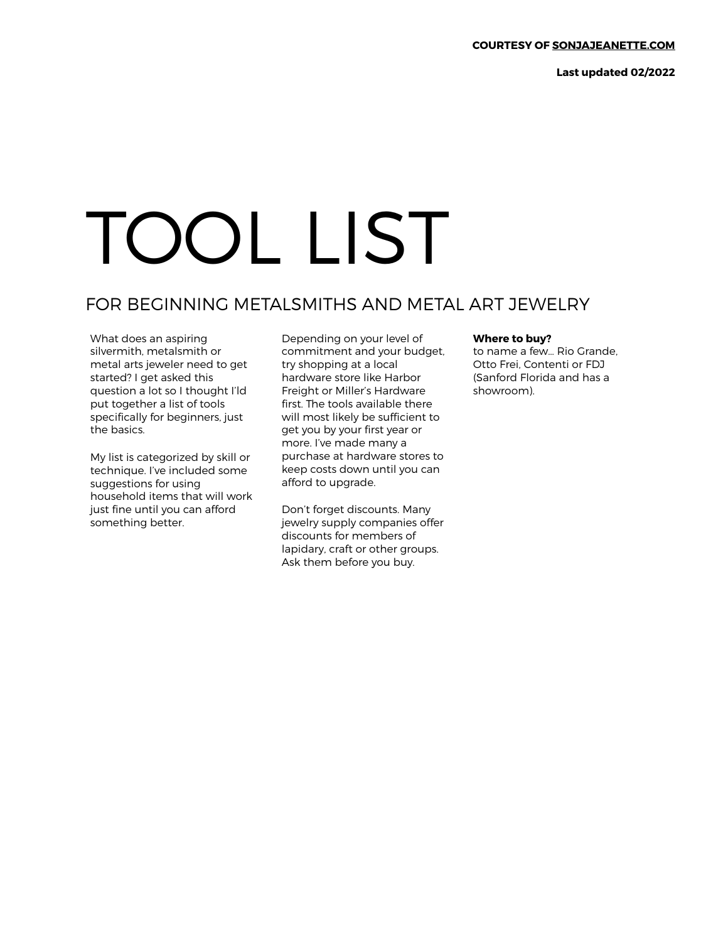**Last updated 02/2022** 

## TOOL LIST

## FOR BEGINNING METALSMITHS AND METAL ART JEWELRY

What does an aspiring silvermith, metalsmith or metal arts jeweler need to get started? I get asked this question a lot so I thought I'ld put together a list of tools specifically for beginners, just the basics.

My list is categorized by skill or technique. I've included some suggestions for using household items that will work just fine until you can afford something better.

Depending on your level of commitment and your budget, try shopping at a local hardware store like Harbor Freight or Miller's Hardware first. The tools available there will most likely be sufficient to get you by your first year or more. I've made many a purchase at hardware stores to keep costs down until you can afford to upgrade.

Don't forget discounts. Many jewelry supply companies offer discounts for members of lapidary, craft or other groups. Ask them before you buy.

## **Where to buy?**

to name a few… Rio Grande, Otto Frei, Contenti or FDJ (Sanford Florida and has a showroom).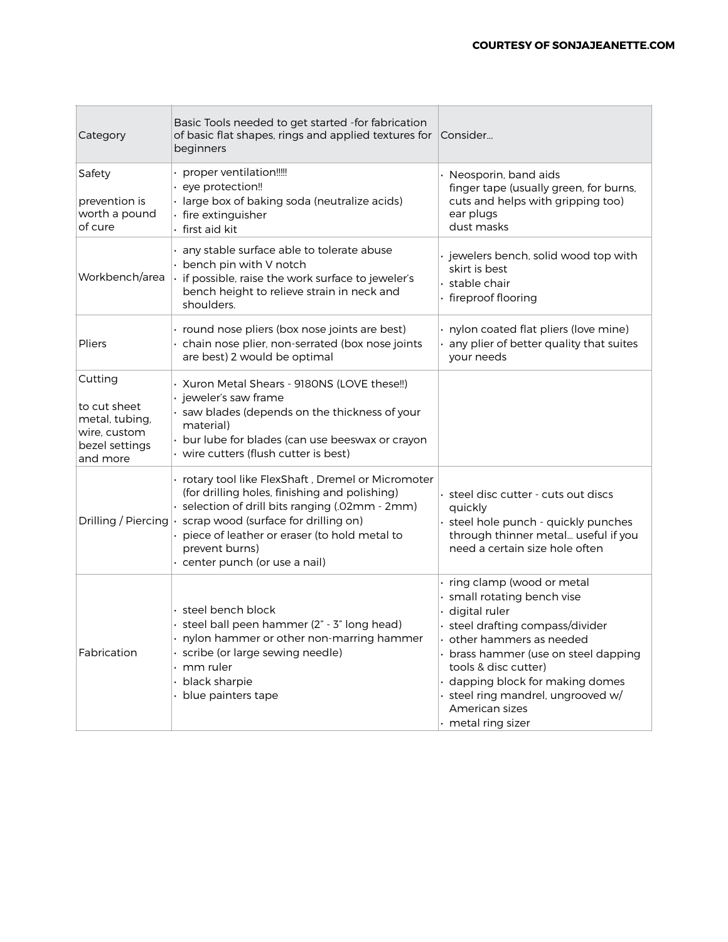| Category                                                                                | Basic Tools needed to get started -for fabrication<br>of basic flat shapes, rings and applied textures for<br>beginners                                                                                                                                                                              | Consider                                                                                                                                                                                                                                                                                                                         |
|-----------------------------------------------------------------------------------------|------------------------------------------------------------------------------------------------------------------------------------------------------------------------------------------------------------------------------------------------------------------------------------------------------|----------------------------------------------------------------------------------------------------------------------------------------------------------------------------------------------------------------------------------------------------------------------------------------------------------------------------------|
| Safety<br>prevention is<br>worth a pound<br>of cure                                     | · proper ventilation!!!!!<br>· eye protection!!<br>· large box of baking soda (neutralize acids)<br>· fire extinguisher<br>· first aid kit                                                                                                                                                           | Neosporin, band aids<br>finger tape (usually green, for burns,<br>cuts and helps with gripping too)<br>ear plugs<br>dust masks                                                                                                                                                                                                   |
| Workbench/area                                                                          | · any stable surface able to tolerate abuse<br>• bench pin with V notch<br>if possible, raise the work surface to jeweler's<br>bench height to relieve strain in neck and<br>shoulders.                                                                                                              | · jewelers bench, solid wood top with<br>skirt is best<br>· stable chair<br>· fireproof flooring                                                                                                                                                                                                                                 |
| Pliers                                                                                  | · round nose pliers (box nose joints are best)<br>· chain nose plier, non-serrated (box nose joints<br>are best) 2 would be optimal                                                                                                                                                                  | · nylon coated flat pliers (love mine)<br>any plier of better quality that suites<br>your needs                                                                                                                                                                                                                                  |
| Cutting<br>to cut sheet<br>metal, tubing,<br>wire, custom<br>bezel settings<br>and more | · Xuron Metal Shears - 9180NS (LOVE these!!)<br>· jeweler's saw frame<br>· saw blades (depends on the thickness of your<br>material)<br>· bur lube for blades (can use beeswax or crayon<br>· wire cutters (flush cutter is best)                                                                    |                                                                                                                                                                                                                                                                                                                                  |
| Drilling / Piercing                                                                     | · rotary tool like FlexShaft, Dremel or Micromoter<br>(for drilling holes, finishing and polishing)<br>· selection of drill bits ranging (.02mm - 2mm)<br>· scrap wood (surface for drilling on)<br>piece of leather or eraser (to hold metal to<br>prevent burns)<br>· center punch (or use a nail) | · steel disc cutter - cuts out discs<br>quickly<br>· steel hole punch - quickly punches<br>through thinner metal useful if you<br>need a certain size hole often                                                                                                                                                                 |
| Fabrication                                                                             | · steel bench block<br>· steel ball peen hammer (2" - 3" long head)<br>. nylon hammer or other non-marring hammer<br>· scribe (or large sewing needle)<br>$\cdot$ mm ruler<br>• black sharpie<br>· blue painters tape                                                                                | · ring clamp (wood or metal<br>· small rotating bench vise<br>digital ruler<br>· steel drafting compass/divider<br>other hammers as needed<br>· brass hammer (use on steel dapping<br>tools & disc cutter)<br>dapping block for making domes<br>· steel ring mandrel, ungrooved w/<br>American sizes<br>$\cdot$ metal ring sizer |